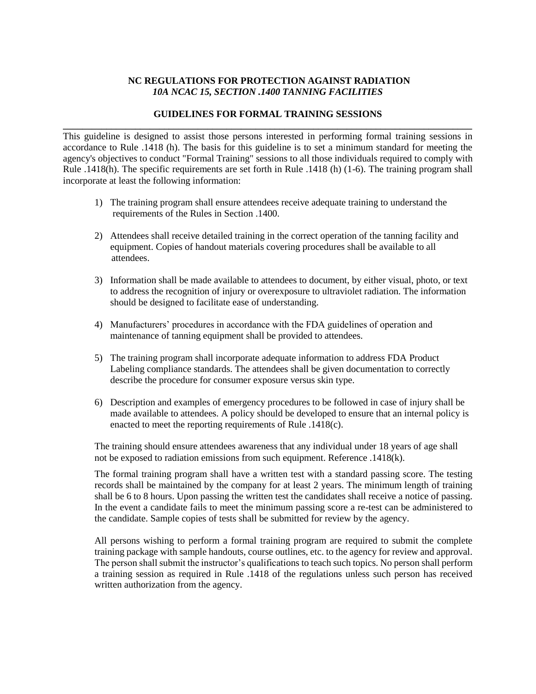# **NC REGULATIONS FOR PROTECTION AGAINST RADIATION**  *10A NCAC 15, SECTION .1400 TANNING FACILITIES*

### **GUIDELINES FOR FORMAL TRAINING SESSIONS \_\_\_\_\_\_\_\_\_\_\_\_\_\_\_\_\_\_\_\_\_\_\_\_\_\_\_\_\_\_\_\_\_\_\_\_\_\_\_\_\_\_\_\_\_\_\_\_\_\_\_\_\_\_\_\_\_\_\_\_\_\_\_\_\_\_\_\_\_\_\_\_\_\_\_\_\_\_\_\_\_\_\_\_\_**

This guideline is designed to assist those persons interested in performing formal training sessions in accordance to Rule .1418 (h). The basis for this guideline is to set a minimum standard for meeting the agency's objectives to conduct "Formal Training" sessions to all those individuals required to comply with Rule .1418(h). The specific requirements are set forth in Rule .1418 (h) (1-6). The training program shall incorporate at least the following information:

- 1) The training program shall ensure attendees receive adequate training to understand the requirements of the Rules in Section .1400.
- 2) Attendees shall receive detailed training in the correct operation of the tanning facility and equipment. Copies of handout materials covering procedures shall be available to all attendees.
- 3) Information shall be made available to attendees to document, by either visual, photo, or text to address the recognition of injury or overexposure to ultraviolet radiation. The information should be designed to facilitate ease of understanding.
- 4) Manufacturers' procedures in accordance with the FDA guidelines of operation and maintenance of tanning equipment shall be provided to attendees.
- 5) The training program shall incorporate adequate information to address FDA Product Labeling compliance standards. The attendees shall be given documentation to correctly describe the procedure for consumer exposure versus skin type.
- 6) Description and examples of emergency procedures to be followed in case of injury shall be made available to attendees. A policy should be developed to ensure that an internal policy is enacted to meet the reporting requirements of Rule .1418(c).

The training should ensure attendees awareness that any individual under 18 years of age shall not be exposed to radiation emissions from such equipment. Reference .1418(k).

The formal training program shall have a written test with a standard passing score. The testing records shall be maintained by the company for at least 2 years. The minimum length of training shall be 6 to 8 hours. Upon passing the written test the candidates shall receive a notice of passing. In the event a candidate fails to meet the minimum passing score a re-test can be administered to the candidate. Sample copies of tests shall be submitted for review by the agency.

All persons wishing to perform a formal training program are required to submit the complete training package with sample handouts, course outlines, etc. to the agency for review and approval. The person shall submit the instructor's qualifications to teach such topics. No person shall perform a training session as required in Rule .1418 of the regulations unless such person has received written authorization from the agency.